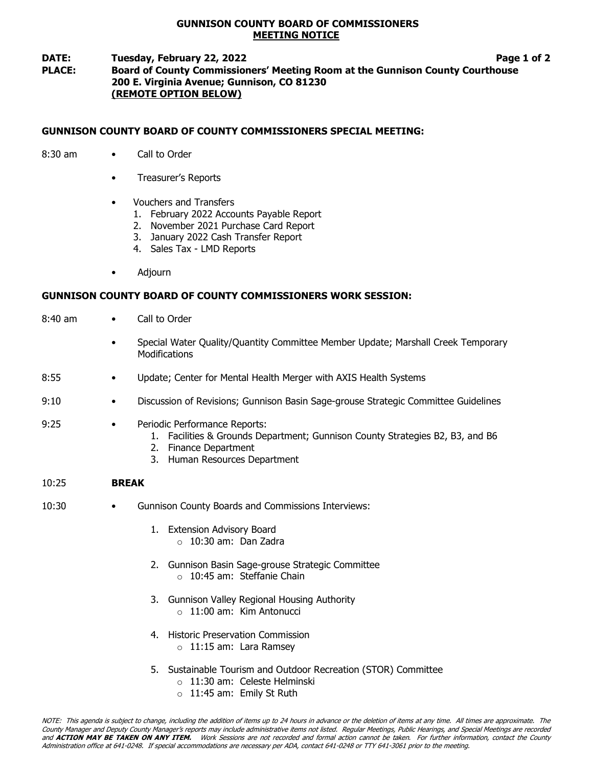## GUNNISON COUNTY BOARD OF COMMISSIONERS MEETING NOTICE

## DATE: Tuesday, February 22, 2022 **Page 1 of 2** Page 1 of 2 PLACE: Board of County Commissioners' Meeting Room at the Gunnison County Courthouse 200 E. Virginia Avenue; Gunnison, CO 81230 (REMOTE OPTION BELOW)

# GUNNISON COUNTY BOARD OF COUNTY COMMISSIONERS SPECIAL MEETING:

- 8:30 am Call to Order
	- Treasurer's Reports
	- Vouchers and Transfers
		- 1. February 2022 Accounts Payable Report
		- 2. November 2021 Purchase Card Report
		- 3. January 2022 Cash Transfer Report
		- 4. Sales Tax LMD Reports
	- Adjourn

# GUNNISON COUNTY BOARD OF COUNTY COMMISSIONERS WORK SESSION:

- 8:40 am Call to Order
	- Special Water Quality/Quantity Committee Member Update; Marshall Creek Temporary **Modifications**
- 8:55 Update; Center for Mental Health Merger with AXIS Health Systems
- 9:10 Discussion of Revisions; Gunnison Basin Sage-grouse Strategic Committee Guidelines

### 9:25 • Periodic Performance Reports:

- 1. Facilities & Grounds Department; Gunnison County Strategies B2, B3, and B6
- 2. Finance Department
- 3. Human Resources Department

#### 10:25 BREAK

- 10:30 Gunnison County Boards and Commissions Interviews:
	- 1. Extension Advisory Board  $\circ$  10:30 am: Dan Zadra
	- 2. Gunnison Basin Sage-grouse Strategic Committee o 10:45 am: Steffanie Chain
	- 3. Gunnison Valley Regional Housing Authority
		- $\circ$  11:00 am: Kim Antonucci
	- 4. Historic Preservation Commission
		- $\circ$  11:15 am: Lara Ramsey
	- 5. Sustainable Tourism and Outdoor Recreation (STOR) Committee
		- o 11:30 am: Celeste Helminski
		- o 11:45 am: Emily St Ruth